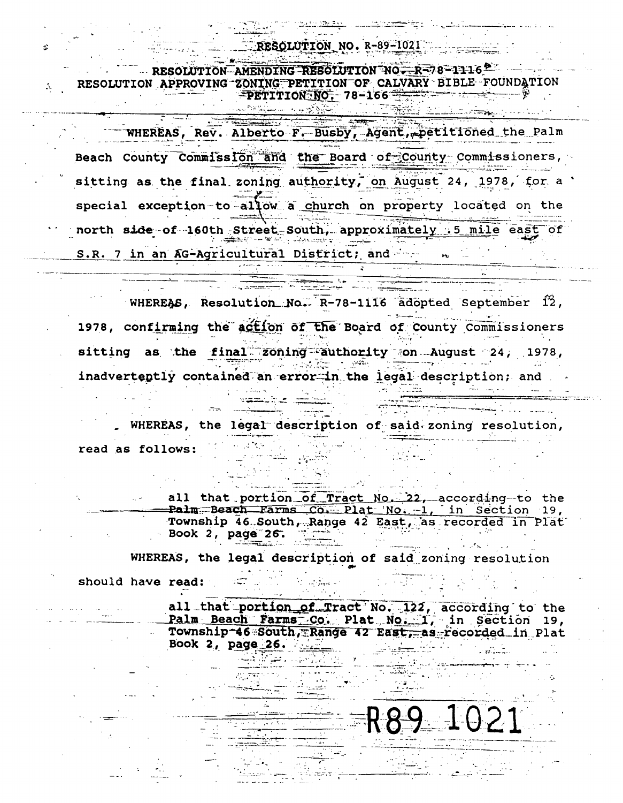RESOLUTION NO. R-89-1021

RESOLUTION AMENDING RESOLUTION NO  $-R = 78 - 1116$ RESOLUTION APPROVING ZONING PETITION OF CALVARY BIBLE FOUNDATION  $\overbrace{PETITION:NO}$  78-166

المتحركة المحور الموارد المسابطة في المحافظ المعام

WHEREAS, Rev. Alberto F. Busby, Agent, petitioned the Palm Beach County Commission and the Board of County Commissioners, sitting as the final zoning authority, on August 24, 1978, for a special exception-to-allow a church on property located on the north side-of-160th Street-South, approximately 5 mile east of S.R. 7 in an AG-Agricultural District; and

 $\frac{1}{2}$  , and the second second second second second second second second second second second second second second second second second second second second second second second second second second second second secon

WHEREAS, Resolution No.  $R-78-1116$  adopted September 12, الرازان والملأمضا 1978, confirming the action of the Board of County Commissioners sitting as the final zoning authority on August 24, 1978, **Experience and Conditions** inadvertently contained an error in the legal description; and 

WHEREAS, the legal description of said zoning resolution,  $\sim 10^{-1}$ read as follows:

all that portion of Tract No. 22, according to the Palm Beach Farms Co. Plat No. 1, in Section 19, Township 46 South, Range 42 East, as recorded in Plat Book 2, page 26.

WHEREAS, the legal description of said zoning resolution

<u>the Card</u>

ti atr<del>ila</del> kir

2002 - 2003 - 2004 - 2005 - 2005 - 2005 - 2005 - 2005 - 2005 - 2005 - 2005 - 2005 - 2005 - 2005 - 2005 - 2005<br>2005 - 2005 - 2005 - 2005 - 2005 - 2005 - 2005 - 2005 - 2005 - 2005 - 2005 - 2005 - 2005 - 2005 - 2005 - 2005<br>20

should have read:

all that portion of Tract No. 122, according to the Palm Beach Farms Co. Plat No. 1, in Section 19, Township-46 South, Range 42 East, as recorded in Plat Book 2, page 26.